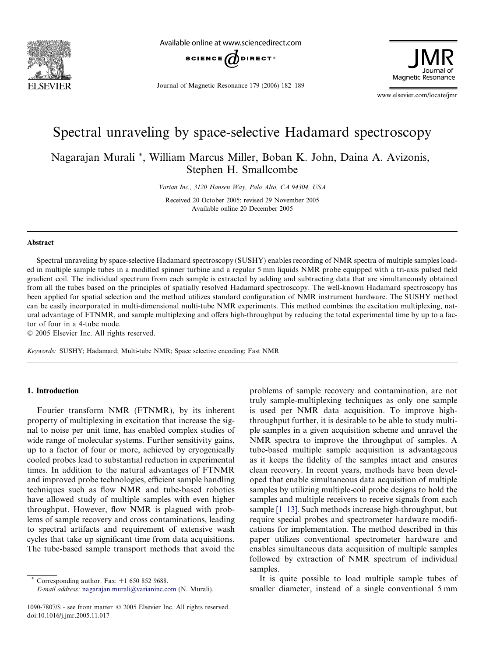

Available online at www.sciencedirect.com



Journal of Magnetic Resonance 179 (2006) 182–189

Magnetic Resonance

www.elsevier.com/locate/jmr

# Spectral unraveling by space-selective Hadamard spectroscopy

Nagarajan Murali \*, William Marcus Miller, Boban K. John, Daina A. Avizonis, Stephen H. Smallcombe

Varian Inc., 3120 Hansen Way, Palo Alto, CA 94304, USA

Received 20 October 2005; revised 29 November 2005 Available online 20 December 2005

#### Abstract

Spectral unraveling by space-selective Hadamard spectroscopy (SUSHY) enables recording of NMR spectra of multiple samples loaded in multiple sample tubes in a modified spinner turbine and a regular 5 mm liquids NMR probe equipped with a tri-axis pulsed field gradient coil. The individual spectrum from each sample is extracted by adding and subtracting data that are simultaneously obtained from all the tubes based on the principles of spatially resolved Hadamard spectroscopy. The well-known Hadamard spectroscopy has been applied for spatial selection and the method utilizes standard configuration of NMR instrument hardware. The SUSHY method can be easily incorporated in multi-dimensional multi-tube NMR experiments. This method combines the excitation multiplexing, natural advantage of FTNMR, and sample multiplexing and offers high-throughput by reducing the total experimental time by up to a factor of four in a 4-tube mode.

© 2005 Elsevier Inc. All rights reserved.

Keywords: SUSHY; Hadamard; Multi-tube NMR; Space selective encoding; Fast NMR

## 1. Introduction

Fourier transform NMR (FTNMR), by its inherent property of multiplexing in excitation that increase the signal to noise per unit time, has enabled complex studies of wide range of molecular systems. Further sensitivity gains, up to a factor of four or more, achieved by cryogenically cooled probes lead to substantial reduction in experimental times. In addition to the natural advantages of FTNMR and improved probe technologies, efficient sample handling techniques such as flow NMR and tube-based robotics have allowed study of multiple samples with even higher throughput. However, flow NMR is plagued with problems of sample recovery and cross contaminations, leading to spectral artifacts and requirement of extensive wash cycles that take up significant time from data acquisitions. The tube-based sample transport methods that avoid the

Corresponding author. Fax:  $+1$  650 852 9688.

E-mail address: [nagarajan.murali@varianinc.com](mailto:nagarajan.murali@varianinc.com) (N. Murali).

problems of sample recovery and contamination, are not truly sample-multiplexing techniques as only one sample is used per NMR data acquisition. To improve highthroughput further, it is desirable to be able to study multiple samples in a given acquisition scheme and unravel the NMR spectra to improve the throughput of samples. A tube-based multiple sample acquisition is advantageous as it keeps the fidelity of the samples intact and ensures clean recovery. In recent years, methods have been developed that enable simultaneous data acquisition of multiple samples by utilizing multiple-coil probe designs to hold the samples and multiple receivers to receive signals from each sample [\[1–13\]](#page-7-0). Such methods increase high-throughput, but require special probes and spectrometer hardware modifications for implementation. The method described in this paper utilizes conventional spectrometer hardware and enables simultaneous data acquisition of multiple samples followed by extraction of NMR spectrum of individual samples.

It is quite possible to load multiple sample tubes of smaller diameter, instead of a single conventional 5 mm

<sup>1090-7807/\$ -</sup> see front matter © 2005 Elsevier Inc. All rights reserved. doi:10.1016/j.jmr.2005.11.017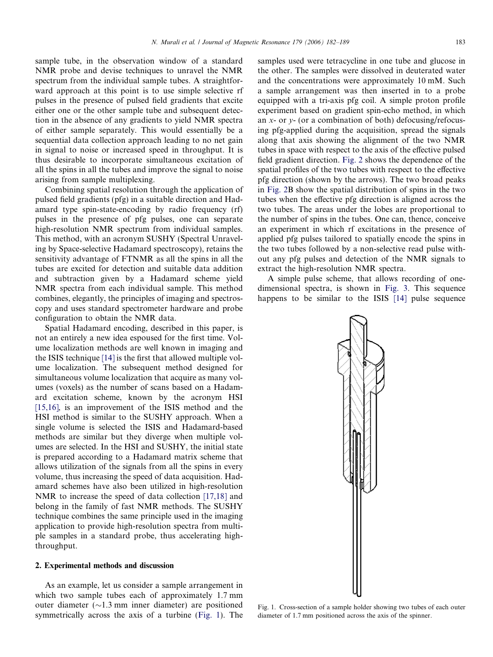sample tube, in the observation window of a standard NMR probe and devise techniques to unravel the NMR spectrum from the individual sample tubes. A straightforward approach at this point is to use simple selective rf pulses in the presence of pulsed field gradients that excite either one or the other sample tube and subsequent detection in the absence of any gradients to yield NMR spectra of either sample separately. This would essentially be a sequential data collection approach leading to no net gain in signal to noise or increased speed in throughput. It is thus desirable to incorporate simultaneous excitation of all the spins in all the tubes and improve the signal to noise arising from sample multiplexing.

Combining spatial resolution through the application of pulsed field gradients (pfg) in a suitable direction and Hadamard type spin-state-encoding by radio frequency (rf) pulses in the presence of pfg pulses, one can separate high-resolution NMR spectrum from individual samples. This method, with an acronym SUSHY (Spectral Unraveling by Space-selective Hadamard spectroscopy), retains the sensitivity advantage of FTNMR as all the spins in all the tubes are excited for detection and suitable data addition and subtraction given by a Hadamard scheme yield NMR spectra from each individual sample. This method combines, elegantly, the principles of imaging and spectroscopy and uses standard spectrometer hardware and probe configuration to obtain the NMR data.

Spatial Hadamard encoding, described in this paper, is not an entirely a new idea espoused for the first time. Volume localization methods are well known in imaging and the ISIS technique [\[14\]](#page-7-0) is the first that allowed multiple volume localization. The subsequent method designed for simultaneous volume localization that acquire as many volumes (voxels) as the number of scans based on a Hadamard excitation scheme, known by the acronym HSI [\[15,16\],](#page-7-0) is an improvement of the ISIS method and the HSI method is similar to the SUSHY approach. When a single volume is selected the ISIS and Hadamard-based methods are similar but they diverge when multiple volumes are selected. In the HSI and SUSHY, the initial state is prepared according to a Hadamard matrix scheme that allows utilization of the signals from all the spins in every volume, thus increasing the speed of data acquisition. Hadamard schemes have also been utilized in high-resolution NMR to increase the speed of data collection [\[17,18\]](#page-7-0) and belong in the family of fast NMR methods. The SUSHY technique combines the same principle used in the imaging application to provide high-resolution spectra from multiple samples in a standard probe, thus accelerating highthroughput.

#### 2. Experimental methods and discussion

As an example, let us consider a sample arrangement in which two sample tubes each of approximately 1.7 mm outer diameter  $(\sim 1.3 \text{ mm})$  inner diameter) are positioned symmetrically across the axis of a turbine (Fig. 1). The samples used were tetracycline in one tube and glucose in the other. The samples were dissolved in deuterated water and the concentrations were approximately 10 mM. Such a sample arrangement was then inserted in to a probe equipped with a tri-axis pfg coil. A simple proton profile experiment based on gradient spin-echo method, in which an  $x$ - or  $y$ - (or a combination of both) defocusing/refocusing pfg-applied during the acquisition, spread the signals along that axis showing the alignment of the two NMR tubes in space with respect to the axis of the effective pulsed field gradient direction. [Fig. 2](#page-2-0) shows the dependence of the spatial profiles of the two tubes with respect to the effective pfg direction (shown by the arrows). The two broad peaks in [Fig. 2B](#page-2-0) show the spatial distribution of spins in the two tubes when the effective pfg direction is aligned across the two tubes. The areas under the lobes are proportional to the number of spins in the tubes. One can, thence, conceive an experiment in which rf excitations in the presence of applied pfg pulses tailored to spatially encode the spins in the two tubes followed by a non-selective read pulse without any pfg pulses and detection of the NMR signals to extract the high-resolution NMR spectra.

A simple pulse scheme, that allows recording of onedimensional spectra, is shown in [Fig. 3.](#page-2-0) This sequence happens to be similar to the ISIS [\[14\]](#page-7-0) pulse sequence



Fig. 1. Cross-section of a sample holder showing two tubes of each outer diameter of 1.7 mm positioned across the axis of the spinner.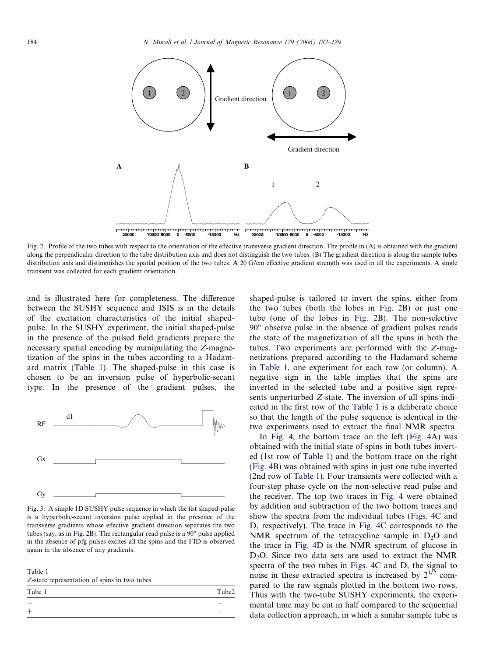<span id="page-2-0"></span>

Fig. 2. Profile of the two tubes with respect to the orientation of the effective transverse gradient direction. The profile in (A) is obtained with the gradient along the perpendicular direction to the tube distribution axis and does not distinguish the two tubes. (B) The gradient direction is along the sample tubes distribution axis and distinguishes the spatial position of the two tubes. A 20 G/cm effective gradient strength was used in all the experiments. A single transient was collected for each gradient orientation.

and is illustrated here for completeness. The difference between the SUSHY sequence and ISIS is in the details of the excitation characteristics of the initial shapedpulse. In the SUSHY experiment, the initial shaped-pulse in the presence of the pulsed field gradients prepare the necessary spatial encoding by manipulating the Z-magnetization of the spins in the tubes according to a Hadamard matrix (Table 1). The shaped-pulse in this case is chosen to be an inversion pulse of hyperbolic-secant type. In the presence of the gradient pulses, the



Fig. 3. A simple 1D SUSHY pulse sequence in which the fist shaped-pulse is a hyperbolic-secant inversion pulse applied in the presence of the transverse gradients whose effective gradient direction separates the two tubes (say, as in Fig. 2B). The rectangular read pulse is a  $90^\circ$  pulse applied in the absence of pfg pulses excites all the spins and the FID is observed again in the absence of any gradients.

Table 1 Z-state representation of spins in two tubes

| .      |       |
|--------|-------|
| Tube 1 | Tube2 |
|        | _     |
|        |       |
|        |       |

shaped-pulse is tailored to invert the spins, either from the two tubes (both the lobes in Fig. 2B) or just one tube (one of the lobes in Fig. 2B). The non-selective 90 observe pulse in the absence of gradient pulses reads the state of the magnetization of all the spins in both the tubes. Two experiments are performed with the Z-magnetizations prepared according to the Hadamard scheme in Table 1, one experiment for each row (or column). A negative sign in the table implies that the spins are inverted in the selected tube and a positive sign represents unperturbed Z-state. The inversion of all spins indicated in the first row of the Table 1 is a deliberate choice so that the length of the pulse sequence is identical in the two experiments used to extract the final NMR spectra.

In [Fig. 4,](#page-3-0) the bottom trace on the left ([Fig. 4](#page-3-0)A) was obtained with the initial state of spins in both tubes inverted (1st row of Table 1) and the bottom trace on the right [\(Fig. 4](#page-3-0)B) was obtained with spins in just one tube inverted (2nd row of Table 1). Four transients were collected with a four-step phase cycle on the non-selective read pulse and the receiver. The top two traces in [Fig. 4](#page-3-0) were obtained by addition and subtraction of the two bottom traces and show the spectra from the individual tubes [\(Figs. 4C](#page-3-0) and D, respectively). The trace in [Fig. 4C](#page-3-0) corresponds to the NMR spectrum of the tetracycline sample in  $D_2O$  and the trace in [Fig. 4D](#page-3-0) is the NMR spectrum of glucose in  $D_2O$ . Since two data sets are used to extract the NMR spectra of the two tubes in [Figs. 4](#page-3-0)C and D, the signal to noise in these extracted spectra is increased by  $2^{1/2}$  compared to the raw signals plotted in the bottom two rows. Thus with the two-tube SUSHY experiments, the experimental time may be cut in half compared to the sequential data collection approach, in which a similar sample tube is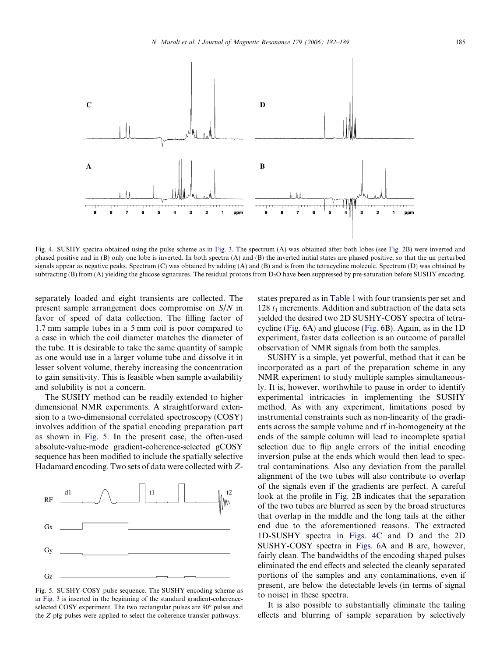<span id="page-3-0"></span>

Fig. 4. SUSHY spectra obtained using the pulse scheme as in [Fig. 3](#page-2-0). The spectrum (A) was obtained after both lobes (see [Fig. 2](#page-2-0)B) were inverted and phased positive and in  $(B)$  only one lobe is inverted. In both spectra  $(A)$  and  $(B)$  the inverted initial states are phased positive, so that the un perturbed signals appear as negative peaks. Spectrum (C) was obtained by adding (A) and (B) and is from the tetracycline molecule. Spectrum (D) was obtained by subtracting (B) from (A) yielding the glucose signatures. The residual protons from D<sub>2</sub>O have been suppressed by pre-saturation before SUSHY encoding.

separately loaded and eight transients are collected. The present sample arrangement does compromise on S/N in favor of speed of data collection. The filling factor of 1.7 mm sample tubes in a 5 mm coil is poor compared to a case in which the coil diameter matches the diameter of the tube. It is desirable to take the same quantity of sample as one would use in a larger volume tube and dissolve it in lesser solvent volume, thereby increasing the concentration to gain sensitivity. This is feasible when sample availability and solubility is not a concern.

The SUSHY method can be readily extended to higher dimensional NMR experiments. A straightforward extension to a two-dimensional correlated spectroscopy (COSY) involves addition of the spatial encoding preparation part as shown in Fig. 5. In the present case, the often-used absolute-value-mode gradient-coherence-selected gCOSY sequence has been modified to include the spatially selective Hadamard encoding. Two sets of data were collected with Z-



Fig. 5. SUSHY-COSY pulse sequence. The SUSHY encoding scheme as in [Fig. 3](#page-2-0) is inserted in the beginning of the standard gradient-coherenceselected COSY experiment. The two rectangular pulses are 90 $^{\circ}$  pulses and the Z-pfg pulses were applied to select the coherence transfer pathways.

states prepared as in [Table 1](#page-2-0) with four transients per set and 128  $t_1$  increments. Addition and subtraction of the data sets yielded the desired two 2D SUSHY-COSY spectra of tetracycline [\(Fig. 6A](#page-4-0)) and glucose [\(Fig. 6B](#page-4-0)). Again, as in the 1D experiment, faster data collection is an outcome of parallel observation of NMR signals from both the samples.

SUSHY is a simple, yet powerful, method that it can be incorporated as a part of the preparation scheme in any NMR experiment to study multiple samples simultaneously. It is, however, worthwhile to pause in order to identify experimental intricacies in implementing the SUSHY method. As with any experiment, limitations posed by instrumental constraints such as non-linearity of the gradients across the sample volume and rf in-homogeneity at the ends of the sample column will lead to incomplete spatial selection due to flip angle errors of the initial encoding inversion pulse at the ends which would then lead to spectral contaminations. Also any deviation from the parallel alignment of the two tubes will also contribute to overlap of the signals even if the gradients are perfect. A careful look at the profile in [Fig. 2](#page-2-0)B indicates that the separation of the two tubes are blurred as seen by the broad structures that overlap in the middle and the long tails at the either end due to the aforementioned reasons. The extracted 1D-SUSHY spectra in Figs. 4C and D and the 2D SUSHY-COSY spectra in [Figs. 6](#page-4-0)A and B are, however, fairly clean. The bandwidths of the encoding shaped pulses eliminated the end effects and selected the cleanly separated portions of the samples and any contaminations, even if present, are below the detectable levels (in terms of signal to noise) in these spectra.

It is also possible to substantially eliminate the tailing effects and blurring of sample separation by selectively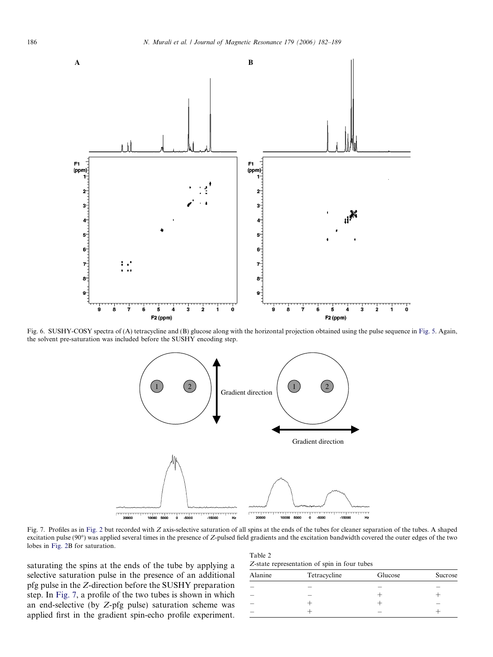<span id="page-4-0"></span>

Fig. 6. SUSHY-COSY spectra of (A) tetracycline and (B) glucose along with the horizontal projection obtained using the pulse sequence in [Fig. 5.](#page-3-0) Again, the solvent pre-saturation was included before the SUSHY encoding step.



Fig. 7. Profiles as in [Fig. 2](#page-2-0) but recorded with Z axis-selective saturation of all spins at the ends of the tubes for cleaner separation of the tubes. A shaped excitation pulse (90) was applied several times in the presence of Z-pulsed field gradients and the excitation bandwidth covered the outer edges of the two lobes in [Fig. 2](#page-2-0)B for saturation.

saturating the spins at the ends of the tube by applying a selective saturation pulse in the presence of an additional pfg pulse in the Z-direction before the SUSHY preparation step. In Fig. 7, a profile of the two tubes is shown in which an end-selective (by Z-pfg pulse) saturation scheme was applied first in the gradient spin-echo profile experiment.

| Table 2 |                                              |  |  |
|---------|----------------------------------------------|--|--|
|         | Z-state representation of spin in four tubes |  |  |

| Alanine | Tetracycline | Glucose | Sucrose |  |
|---------|--------------|---------|---------|--|
|         |              |         |         |  |
|         |              |         |         |  |
|         |              |         |         |  |
|         |              |         |         |  |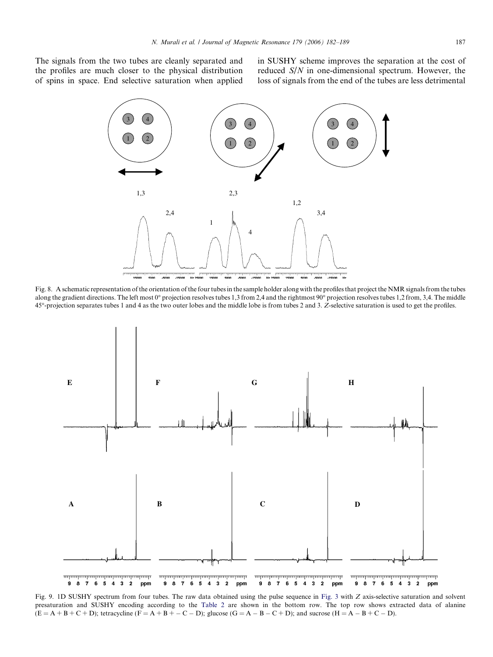<span id="page-5-0"></span>The signals from the two tubes are cleanly separated and the profiles are much closer to the physical distribution of spins in space. End selective saturation when applied

in SUSHY scheme improves the separation at the cost of reduced S/N in one-dimensional spectrum. However, the loss of signals from the end of the tubes are less detrimental



Fig. 8. A schematic representation of the orientation of the four tubes in the sample holder along with the profiles that project the NMR signals from the tubes along the gradient directions. The left most  $0^{\circ}$  projection resolves tubes 1,3 from 2,4 and the rightmost  $90^{\circ}$  projection resolves tubes 1,2 from, 3,4. The middle 45-projection separates tubes 1 and 4 as the two outer lobes and the middle lobe is from tubes 2 and 3. Z-selective saturation is used to get the profiles.



Fig. 9. 1D SUSHY spectrum from four tubes. The raw data obtained using the pulse sequence in [Fig. 3](#page-2-0) with Z axis-selective saturation and solvent presaturation and SUSHY encoding according to the [Table 2](#page-4-0) are shown in the bottom row. The top row shows extracted data of alanine  $(E = A + B + C + D)$ ; tetracycline  $(F = A + B + - C - D)$ ; glucose  $(G = A - B - C + D)$ ; and sucrose  $(H = A - B + C - D)$ .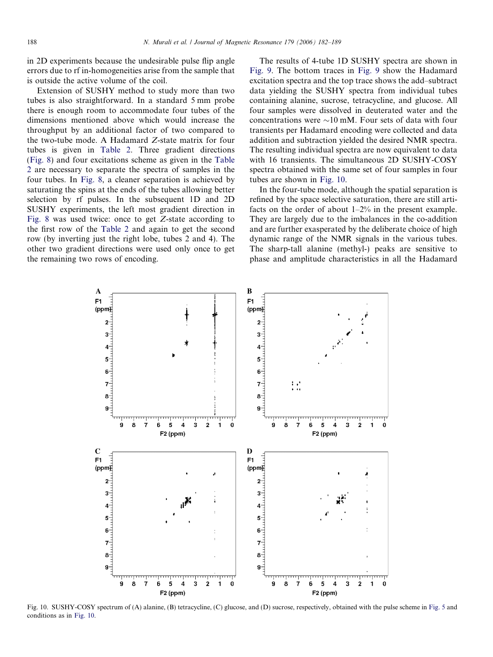<span id="page-6-0"></span>in 2D experiments because the undesirable pulse flip angle errors due to rf in-homogeneities arise from the sample that is outside the active volume of the coil.

Extension of SUSHY method to study more than two tubes is also straightforward. In a standard 5 mm probe there is enough room to accommodate four tubes of the dimensions mentioned above which would increase the throughput by an additional factor of two compared to the two-tube mode. A Hadamard Z-state matrix for four tubes is given in [Table 2.](#page-4-0) Three gradient directions [\(Fig. 8\)](#page-5-0) and four excitations scheme as given in the [Table](#page-4-0) [2](#page-4-0) are necessary to separate the spectra of samples in the four tubes. In [Fig. 8,](#page-5-0) a cleaner separation is achieved by saturating the spins at the ends of the tubes allowing better selection by rf pulses. In the subsequent 1D and 2D SUSHY experiments, the left most gradient direction in [Fig. 8](#page-5-0) was used twice: once to get Z-state according to the first row of the [Table 2](#page-4-0) and again to get the second row (by inverting just the right lobe, tubes 2 and 4). The other two gradient directions were used only once to get the remaining two rows of encoding.

The results of 4-tube 1D SUSHY spectra are shown in [Fig. 9.](#page-5-0) The bottom traces in [Fig. 9](#page-5-0) show the Hadamard excitation spectra and the top trace shows the add–subtract data yielding the SUSHY spectra from individual tubes containing alanine, sucrose, tetracycline, and glucose. All four samples were dissolved in deuterated water and the concentrations were  $\sim 10$  mM. Four sets of data with four transients per Hadamard encoding were collected and data addition and subtraction yielded the desired NMR spectra. The resulting individual spectra are now equivalent to data with 16 transients. The simultaneous 2D SUSHY-COSY spectra obtained with the same set of four samples in four tubes are shown in Fig. 10.

In the four-tube mode, although the spatial separation is refined by the space selective saturation, there are still artifacts on the order of about 1–2% in the present example. They are largely due to the imbalances in the co-addition and are further exasperated by the deliberate choice of high dynamic range of the NMR signals in the various tubes. The sharp-tall alanine (methyl-) peaks are sensitive to phase and amplitude characteristics in all the Hadamard



Fig. 10. SUSHY-COSY spectrum of (A) alanine, (B) tetracycline, (C) glucose, and (D) sucrose, respectively, obtained with the pulse scheme in [Fig. 5](#page-3-0) and conditions as in Fig. 10.